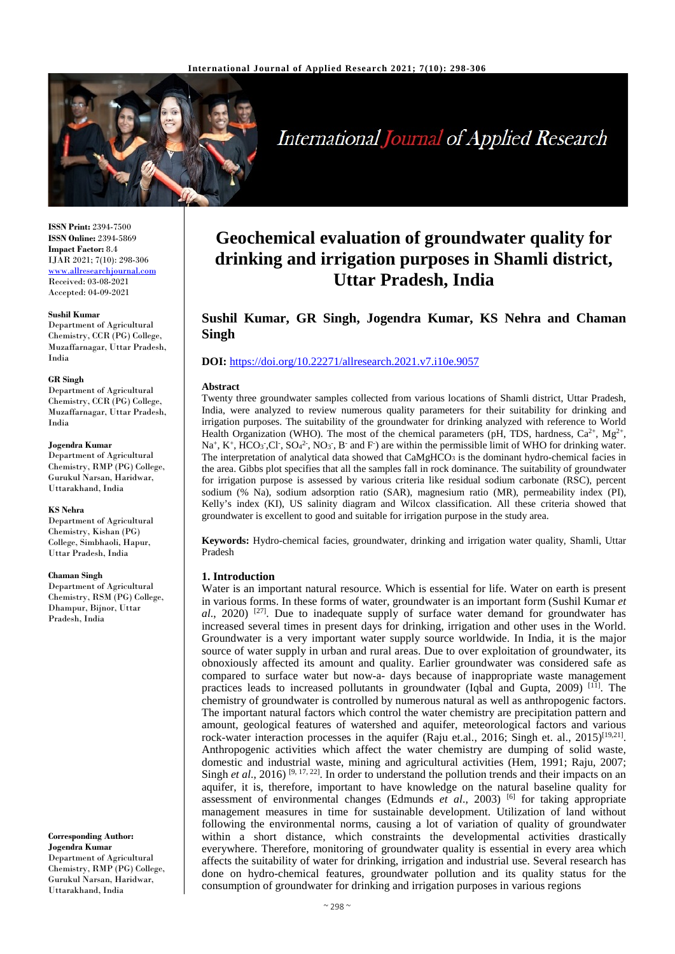

**International Journal of Applied Research** 

**ISSN Print:** 2394-7500 **ISSN Online:** 2394-5869 **Impact Factor:** 8.4 IJAR 2021; 7(10): 298-306 www.allresearchjournal.com Received: 03-08-2021 Accepted: 04-09-2021

#### **Sushil Kumar**

Department of Agricultural Chemistry, CCR (PG) College, Muzaffarnagar, Uttar Pradesh, India

#### **GR Singh**

Department of Agricultural Chemistry, CCR (PG) College, Muzaffarnagar, Uttar Pradesh, India

#### **Jogendra Kumar**

Department of Agricultural Chemistry, RMP (PG) College, Gurukul Narsan, Haridwar, Uttarakhand, India

#### **KS Nehra**

Department of Agricultural Chemistry, Kishan (PG) College, Simbhaoli, Hapur, Uttar Pradesh, India

#### **Chaman Singh**

Department of Agricultural Chemistry, RSM (PG) College, Dhampur, Bijnor, Uttar Pradesh, India

**Corresponding Author: Jogendra Kumar** Department of Agricultural Chemistry, RMP (PG) College, Gurukul Narsan, Haridwar, Uttarakhand, India

# **Geochemical evaluation of groundwater quality for drinking and irrigation purposes in Shamli district, Uttar Pradesh, India**

## **Sushil Kumar, GR Singh, Jogendra Kumar, KS Nehra and Chaman Singh**

#### **DOI:** <https://doi.org/10.22271/allresearch.2021.v7.i10e.9057>

#### **Abstract**

Twenty three groundwater samples collected from various locations of Shamli district, Uttar Pradesh, India, were analyzed to review numerous quality parameters for their suitability for drinking and irrigation purposes. The suitability of the groundwater for drinking analyzed with reference to World Health Organization (WHO). The most of the chemical parameters (pH, TDS, hardness,  $Ca^{2+}$ ,  $Mg^{2+}$ ,  $\text{Na}^+$ ,  $\text{K}^+$ ,  $\text{HCO}_3$ <sup>-</sup>,  $\text{CO}_4$ <sup>2</sup>,  $\text{NO}_3$ <sup>-</sup>,  $\text{B}^-$  and F<sup>-</sup>) are within the permissible limit of WHO for drinking water. The interpretation of analytical data showed that  $CaMgHCO<sub>3</sub>$  is the dominant hydro-chemical facies in the area. Gibbs plot specifies that all the samples fall in rock dominance. The suitability of groundwater for irrigation purpose is assessed by various criteria like residual sodium carbonate (RSC), percent sodium (% Na), sodium adsorption ratio (SAR), magnesium ratio (MR), permeability index (PI), Kelly's index (KI), US salinity diagram and Wilcox classification. All these criteria showed that groundwater is excellent to good and suitable for irrigation purpose in the study area.

**Keywords:** Hydro-chemical facies, groundwater, drinking and irrigation water quality, Shamli, Uttar Pradesh

#### **1. Introduction**

Water is an important natural resource. Which is essential for life. Water on earth is present in various forms. In these forms of water, groundwater is an important form (Sushil Kumar *et al.*, 2020) <sup>[27]</sup>. Due to inadequate supply of surface water demand for groundwater has increased several times in present days for drinking, irrigation and other uses in the World. Groundwater is a very important water supply source worldwide. In India, it is the major source of water supply in urban and rural areas. Due to over exploitation of groundwater, its obnoxiously affected its amount and quality. Earlier groundwater was considered safe as compared to surface water but now-a- days because of inappropriate waste management practices leads to increased pollutants in groundwater (Iqbal and Gupta, 2009)  $[11]$ . The chemistry of groundwater is controlled by numerous natural as well as anthropogenic factors. The important natural factors which control the water chemistry are precipitation pattern and amount, geological features of watershed and aquifer, meteorological factors and various rock-water interaction processes in the aquifer (Raju et.al., 2016; Singh et. al., 2015)<sup>[19,21]</sup>. Anthropogenic activities which affect the water chemistry are dumping of solid waste, domestic and industrial waste, mining and agricultural activities (Hem, 1991; Raju, 2007; Singh *et al.*, 2016) <sup>[9, 17, 22]. In order to understand the pollution trends and their impacts on an</sup> aquifer, it is, therefore, important to have knowledge on the natural baseline quality for assessment of environmental changes (Edmunds *et al.*, 2003) <sup>[6]</sup> for taking appropriate management measures in time for sustainable development. Utilization of land without following the environmental norms, causing a lot of variation of quality of groundwater within a short distance, which constraints the developmental activities drastically everywhere. Therefore, monitoring of groundwater quality is essential in every area which affects the suitability of water for drinking, irrigation and industrial use. Several research has done on hydro-chemical features, groundwater pollution and its quality status for the consumption of groundwater for drinking and irrigation purposes in various regions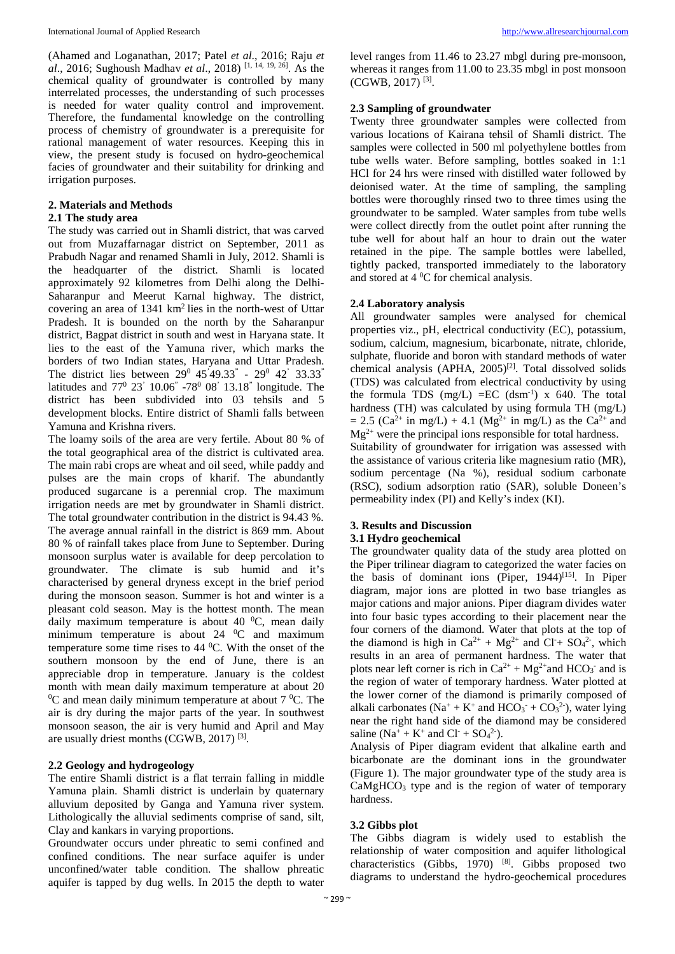(Ahamed and Loganathan, 2017; Patel *et al*., 2016; Raju *et al*., 2016; Sughoush Madhav *et al*., 2018) [1, 14, 19, 26]. As the chemical quality of groundwater is controlled by many interrelated processes, the understanding of such processes is needed for water quality control and improvement. Therefore, the fundamental knowledge on the controlling process of chemistry of groundwater is a prerequisite for rational management of water resources. Keeping this in view, the present study is focused on hydro-geochemical facies of groundwater and their suitability for drinking and irrigation purposes.

#### **2. Materials and Methods**

#### **2.1 The study area**

The study was carried out in Shamli district, that was carved out from Muzaffarnagar district on September, 2011 as Prabudh Nagar and renamed Shamli in July, 2012. Shamli is the headquarter of the district. Shamli is located approximately 92 kilometres from Delhi along the Delhi-Saharanpur and Meerut Karnal highway. The district, covering an area of 1341 km2 lies in the north-west of Uttar Pradesh. It is bounded on the north by the Saharanpur district, Bagpat district in south and west in Haryana state. It lies to the east of the Yamuna river, which marks the borders of two Indian states, Haryana and Uttar Pradesh. The district lies between  $29^{\circ}$  45'49.33" -  $29^{\circ}$  42' 33.33" latitudes and 770 23' 10.06" -780 08' 13.18" longitude. The district has been subdivided into 03 tehsils and 5 development blocks. Entire district of Shamli falls between Yamuna and Krishna rivers.

The loamy soils of the area are very fertile. About 80 % of the total geographical area of the district is cultivated area. The main rabi crops are wheat and oil seed, while paddy and pulses are the main crops of kharif. The abundantly produced sugarcane is a perennial crop. The maximum irrigation needs are met by groundwater in Shamli district. The total groundwater contribution in the district is 94.43 %. The average annual rainfall in the district is 869 mm. About 80 % of rainfall takes place from June to September. During monsoon surplus water is available for deep percolation to groundwater. The climate is sub humid and it's characterised by general dryness except in the brief period during the monsoon season. Summer is hot and winter is a pleasant cold season. May is the hottest month. The mean daily maximum temperature is about 40  $^0C$ , mean daily minimum temperature is about 24  $^0C$  and maximum temperature some time rises to  $44 \degree C$ . With the onset of the southern monsoon by the end of June, there is an appreciable drop in temperature. January is the coldest month with mean daily maximum temperature at about 20  ${}^{0}C$  and mean daily minimum temperature at about 7  ${}^{0}C$ . The air is dry during the major parts of the year. In southwest monsoon season, the air is very humid and April and May are usually driest months (CGWB, 2017) [3].

## **2.2 Geology and hydrogeology**

The entire Shamli district is a flat terrain falling in middle Yamuna plain. Shamli district is underlain by quaternary alluvium deposited by Ganga and Yamuna river system. Lithologically the alluvial sediments comprise of sand, silt, Clay and kankars in varying proportions.

Groundwater occurs under phreatic to semi confined and confined conditions. The near surface aquifer is under unconfined/water table condition. The shallow phreatic aquifer is tapped by dug wells. In 2015 the depth to water level ranges from 11.46 to 23.27 mbgl during pre-monsoon, whereas it ranges from 11.00 to 23.35 mbgl in post monsoon (CGWB, 2017) [3].

## **2.3 Sampling of groundwater**

Twenty three groundwater samples were collected from various locations of Kairana tehsil of Shamli district. The samples were collected in 500 ml polyethylene bottles from tube wells water. Before sampling, bottles soaked in 1:1 HCl for 24 hrs were rinsed with distilled water followed by deionised water. At the time of sampling, the sampling bottles were thoroughly rinsed two to three times using the groundwater to be sampled. Water samples from tube wells were collect directly from the outlet point after running the tube well for about half an hour to drain out the water retained in the pipe. The sample bottles were labelled, tightly packed, transported immediately to the laboratory and stored at  $4^{\circ}$ C for chemical analysis.

## **2.4 Laboratory analysis**

All groundwater samples were analysed for chemical properties viz., pH, electrical conductivity (EC), potassium, sodium, calcium, magnesium, bicarbonate, nitrate, chloride, sulphate, fluoride and boron with standard methods of water chemical analysis (APHA,  $2005$ <sup>[2]</sup>. Total dissolved solids (TDS) was calculated from electrical conductivity by using the formula TDS  $(mg/L) = EC$   $(dsm^{-1})$  x 640. The total hardness (TH) was calculated by using formula TH (mg/L)  $= 2.5$  (Ca<sup>2+</sup> in mg/L) + 4.1 (Mg<sup>2+</sup> in mg/L) as the Ca<sup>2+</sup> and  $Mg^{2+}$  were the principal ions responsible for total hardness. Suitability of groundwater for irrigation was assessed with the assistance of various criteria like magnesium ratio (MR), sodium percentage (Na %), residual sodium carbonate (RSC), sodium adsorption ratio (SAR), soluble Doneen's permeability index (PI) and Kelly's index (KI).

#### **3. Results and Discussion 3.1 Hydro geochemical**

The groundwater quality data of the study area plotted on the Piper trilinear diagram to categorized the water facies on the basis of dominant ions (Piper, 1944)<sup>[15]</sup>. In Piper diagram, major ions are plotted in two base triangles as major cations and major anions. Piper diagram divides water into four basic types according to their placement near the four corners of the diamond. Water that plots at the top of the diamond is high in  $Ca^{2+} + Mg^{2+}$  and  $Cl^+ + SO_4^2$ , which results in an area of permanent hardness. The water that plots near left corner is rich in  $Ca^{2+} + Mg^{2+}$  and HCO<sub>3</sub><sup>-</sup> and is the region of water of temporary hardness. Water plotted at the lower corner of the diamond is primarily composed of alkali carbonates ( $Na^+ + K^+$  and  $HCO_3^- + CO_3^2$ ), water lying near the right hand side of the diamond may be considered saline  $(Na^+ + K^+)$  and  $Cl^+ + SO_4^2$ .

Analysis of Piper diagram evident that alkaline earth and bicarbonate are the dominant ions in the groundwater (Figure 1). The major groundwater type of the study area is  $CaMgHCO<sub>3</sub>$  type and is the region of water of temporary hardness.

## **3.2 Gibbs plot**

The Gibbs diagram is widely used to establish the relationship of water composition and aquifer lithological characteristics (Gibbs, 1970)  $^{[8]}$ . Gibbs proposed two diagrams to understand the hydro-geochemical procedures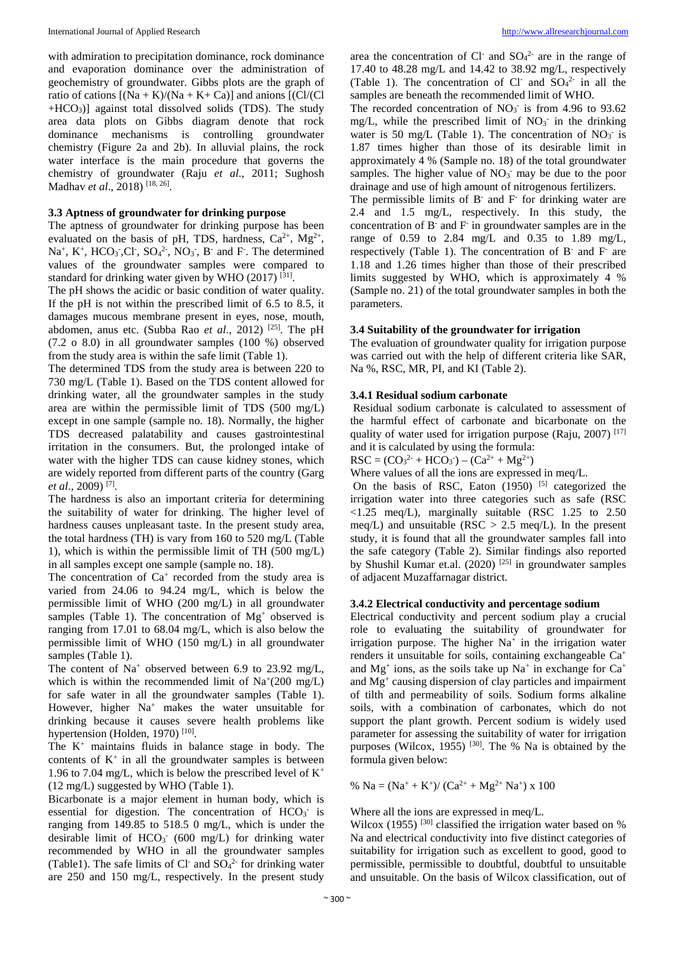with admiration to precipitation dominance, rock dominance and evaporation dominance over the administration of geochemistry of groundwater. Gibbs plots are the graph of ratio of cations  $[(Na + K)/(Na + K + Ca)]$  and anions  $[(Cl/(Cl))$  $+HCO<sub>3</sub>$ )] against total dissolved solids (TDS). The study area data plots on Gibbs diagram denote that rock dominance mechanisms is controlling groundwater chemistry (Figure 2a and 2b). In alluvial plains, the rock water interface is the main procedure that governs the chemistry of groundwater (Raju *et al*., 2011; Sughosh Madhav *et al*., 2018) [18, 26].

#### **3.3 Aptness of groundwater for drinking purpose**

The aptness of groundwater for drinking purpose has been evaluated on the basis of pH, TDS, hardness,  $Ca^{2+}$ ,  $Mg^{2+}$ ,  $Na<sup>+</sup>, K<sup>+</sup>, HCO<sub>3</sub>, Cl<sup>-</sup>, SO<sub>4</sub><sup>2</sup>, NO<sub>3</sub>, B<sup>-</sup> and F. The determined$ values of the groundwater samples were compared to standard for drinking water given by WHO (2017)  $^{[31]}$ .

The pH shows the acidic or basic condition of water quality. If the pH is not within the prescribed limit of 6.5 to 8.5, it damages mucous membrane present in eyes, nose, mouth, abdomen, anus etc. (Subba Rao *et al*., 2012) [25]. The pH (7.2 o 8.0) in all groundwater samples (100 %) observed from the study area is within the safe limit (Table 1).

The determined TDS from the study area is between 220 to 730 mg/L (Table 1). Based on the TDS content allowed for drinking water, all the groundwater samples in the study area are within the permissible limit of TDS (500 mg/L) except in one sample (sample no. 18). Normally, the higher TDS decreased palatability and causes gastrointestinal irritation in the consumers. But, the prolonged intake of water with the higher TDS can cause kidney stones, which are widely reported from different parts of the country (Garg *et al*., 2009) [7].

The hardness is also an important criteria for determining the suitability of water for drinking. The higher level of hardness causes unpleasant taste. In the present study area, the total hardness (TH) is vary from 160 to 520 mg/L (Table 1), which is within the permissible limit of TH (500 mg/L) in all samples except one sample (sample no. 18).

The concentration of  $Ca^+$  recorded from the study area is varied from 24.06 to 94.24 mg/L, which is below the permissible limit of WHO (200 mg/L) in all groundwater samples (Table 1). The concentration of  $Mg<sup>+</sup>$  observed is ranging from 17.01 to 68.04 mg/L, which is also below the permissible limit of WHO (150 mg/L) in all groundwater samples (Table 1).

The content of  $Na^+$  observed between 6.9 to 23.92 mg/L, which is within the recommended limit of  $\text{Na}^+(200 \text{ mg/L})$ for safe water in all the groundwater samples (Table 1). However, higher Na<sup>+</sup> makes the water unsuitable for drinking because it causes severe health problems like hypertension (Holden, 1970)<sup>[10]</sup>.

The  $K^+$  maintains fluids in balance stage in body. The contents of  $K^+$  in all the groundwater samples is between 1.96 to 7.04 mg/L, which is below the prescribed level of  $K^+$ (12 mg/L) suggested by WHO (Table 1).

Bicarbonate is a major element in human body, which is essential for digestion. The concentration of  $HCO<sub>3</sub>$  is ranging from 149.85 to 518.5 0 mg/L, which is under the desirable limit of  $HCO<sub>3</sub>$  (600 mg/L) for drinking water recommended by WHO in all the groundwater samples (Table1). The safe limits of Cl and  $SO_4^2$  for drinking water are 250 and 150 mg/L, respectively. In the present study

area the concentration of Cl<sup>-</sup> and  $SO_4^2$ <sup>-</sup> are in the range of 17.40 to 48.28 mg/L and 14.42 to 38.92 mg/L, respectively (Table 1). The concentration of Cl<sup>-</sup> and  $SO_4^2$  in all the samples are beneath the recommended limit of WHO.

The recorded concentration of  $NO<sub>3</sub>$  is from 4.96 to 93.62 mg/L, while the prescribed limit of  $NO<sub>3</sub>$  in the drinking water is 50 mg/L (Table 1). The concentration of  $NO<sub>3</sub>$  is 1.87 times higher than those of its desirable limit in approximately 4 % (Sample no. 18) of the total groundwater samples. The higher value of  $NO<sub>3</sub>$ <sup>-</sup> may be due to the poor drainage and use of high amount of nitrogenous fertilizers.

The permissible limits of  $B^-$  and  $F^-$  for drinking water are 2.4 and 1.5 mg/L, respectively. In this study, the concentration of  $B^-$  and  $F^-$  in groundwater samples are in the range of 0.59 to 2.84 mg/L and 0.35 to 1.89 mg/L, respectively (Table 1). The concentration of B- and F- are 1.18 and 1.26 times higher than those of their prescribed limits suggested by WHO, which is approximately 4 % (Sample no. 21) of the total groundwater samples in both the parameters.

#### **3.4 Suitability of the groundwater for irrigation**

The evaluation of groundwater quality for irrigation purpose was carried out with the help of different criteria like SAR, Na %, RSC, MR, PI, and KI (Table 2).

## **3.4.1 Residual sodium carbonate**

Residual sodium carbonate is calculated to assessment of the harmful effect of carbonate and bicarbonate on the quality of water used for irrigation purpose (Raju, 2007)  $^{[17]}$ and it is calculated by using the formula:

 $RSC = (CO<sub>3</sub><sup>2</sup> + HCO<sub>3</sub><sup>-</sup>) - (Ca<sup>2+</sup> + Mg<sup>2+</sup>)$ 

Where values of all the ions are expressed in meq/L.

On the basis of RSC, Eaton  $(1950)$  <sup>[5]</sup> categorized the irrigation water into three categories such as safe (RSC  $\langle 1.25 \text{ meg/L}),$  marginally suitable (RSC 1.25 to 2.50) meq/L) and unsuitable ( $RSC > 2.5$  meq/L). In the present study, it is found that all the groundwater samples fall into the safe category (Table 2). Similar findings also reported by Shushil Kumar et.al.  $(2020)$ <sup>[25]</sup> in groundwater samples of adjacent Muzaffarnagar district.

#### **3.4.2 Electrical conductivity and percentage sodium**

Electrical conductivity and percent sodium play a crucial role to evaluating the suitability of groundwater for irrigation purpose. The higher  $Na<sup>+</sup>$  in the irrigation water renders it unsuitable for soils, containing exchangeable Ca+ and  $Mg<sup>+</sup>$  ions, as the soils take up  $Na<sup>+</sup>$  in exchange for  $Ca<sup>+</sup>$ and Mg+ causing dispersion of clay particles and impairment of tilth and permeability of soils. Sodium forms alkaline soils, with a combination of carbonates, which do not support the plant growth. Percent sodium is widely used parameter for assessing the suitability of water for irrigation purposes (Wilcox, 1955)<sup>[30]</sup>. The % Na is obtained by the formula given below:

% Na =  $(Na^{+} + K^{+})/(Ca^{2+} + Mg^{2+} Na^{+})$  x 100

Where all the ions are expressed in meq/L.

Wilcox (1955)<sup>[30]</sup> classified the irrigation water based on  $%$ Na and electrical conductivity into five distinct categories of suitability for irrigation such as excellent to good, good to permissible, permissible to doubtful, doubtful to unsuitable and unsuitable. On the basis of Wilcox classification, out of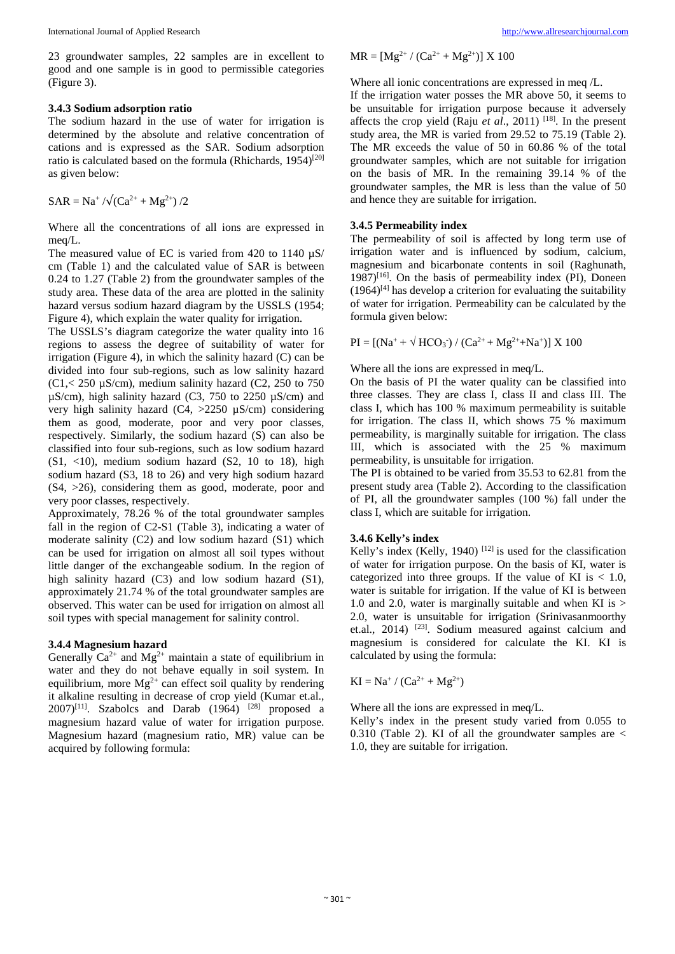23 groundwater samples, 22 samples are in excellent to good and one sample is in good to permissible categories (Figure 3).

#### **3.4.3 Sodium adsorption ratio**

The sodium hazard in the use of water for irrigation is determined by the absolute and relative concentration of cations and is expressed as the SAR. Sodium adsorption ratio is calculated based on the formula (Rhichards, 1954)<sup>[20]</sup> as given below:

$$
SAR = Na^{+}/\sqrt{(Ca^{2+} + Mg^{2+})/2}
$$

Where all the concentrations of all ions are expressed in meq/L.

The measured value of EC is varied from 420 to 1140  $\mu$ S/ cm (Table 1) and the calculated value of SAR is between 0.24 to 1.27 (Table 2) from the groundwater samples of the study area. These data of the area are plotted in the salinity hazard versus sodium hazard diagram by the USSLS (1954; Figure 4), which explain the water quality for irrigation.

The USSLS's diagram categorize the water quality into 16 regions to assess the degree of suitability of water for irrigation (Figure 4), in which the salinity hazard (C) can be divided into four sub-regions, such as low salinity hazard  $(C1, 250 \mu S/cm)$ , medium salinity hazard  $(C2, 250 \text{ to } 750 \text{ m})$  $\mu$ S/cm), high salinity hazard (C3, 750 to 2250  $\mu$ S/cm) and very high salinity hazard  $(C4, >2250 \mu S/cm)$  considering them as good, moderate, poor and very poor classes, respectively. Similarly, the sodium hazard (S) can also be classified into four sub-regions, such as low sodium hazard  $(S1, <10)$ , medium sodium hazard  $(S2, 10$  to 18), high sodium hazard (S3, 18 to 26) and very high sodium hazard (S4, >26), considering them as good, moderate, poor and very poor classes, respectively.

Approximately, 78.26 % of the total groundwater samples fall in the region of C2-S1 (Table 3), indicating a water of moderate salinity (C2) and low sodium hazard (S1) which can be used for irrigation on almost all soil types without little danger of the exchangeable sodium. In the region of high salinity hazard (C3) and low sodium hazard (S1), approximately 21.74 % of the total groundwater samples are observed. This water can be used for irrigation on almost all soil types with special management for salinity control.

#### **3.4.4 Magnesium hazard**

Generally  $Ca^{2+}$  and  $Mg^{2+}$  maintain a state of equilibrium in water and they do not behave equally in soil system. In equilibrium, more  $Mg^{2+}$  can effect soil quality by rendering it alkaline resulting in decrease of crop yield (Kumar et.al.,  $2007$ <sup>[11]</sup>. Szabolcs and Darab (1964) <sup>[28]</sup> proposed a magnesium hazard value of water for irrigation purpose. Magnesium hazard (magnesium ratio, MR) value can be acquired by following formula:

$$
MR = [Mg^{2+} / (Ca^{2+} + Mg^{2+})] X 100
$$

Where all ionic concentrations are expressed in meq /L.

If the irrigation water posses the MR above 50, it seems to be unsuitable for irrigation purpose because it adversely affects the crop yield (Raju *et al.*, 2011)<sup>[18]</sup>. In the present study area, the MR is varied from 29.52 to 75.19 (Table 2). The MR exceeds the value of 50 in 60.86 % of the total groundwater samples, which are not suitable for irrigation on the basis of MR. In the remaining 39.14 % of the groundwater samples, the MR is less than the value of 50 and hence they are suitable for irrigation.

#### **3.4.5 Permeability index**

The permeability of soil is affected by long term use of irrigation water and is influenced by sodium, calcium, magnesium and bicarbonate contents in soil (Raghunath, 1987)<sup>[16]</sup>. On the basis of permeability index (PI), Doneen  $(1964)^{[4]}$  has develop a criterion for evaluating the suitability of water for irrigation. Permeability can be calculated by the formula given below:

 $PI = [(Na^+ + \sqrt{HCO_3}) / (Ca^{2+} + Mg^{2+} + Na^+)] \times 100$ 

Where all the ions are expressed in meq/L.

On the basis of PI the water quality can be classified into three classes. They are class I, class II and class III. The class I, which has 100 % maximum permeability is suitable for irrigation. The class II, which shows 75 % maximum permeability, is marginally suitable for irrigation. The class III, which is associated with the 25 % maximum permeability, is unsuitable for irrigation.

The PI is obtained to be varied from 35.53 to 62.81 from the present study area (Table 2). According to the classification of PI, all the groundwater samples (100 %) fall under the class I, which are suitable for irrigation.

#### **3.4.6 Kelly's index**

Kelly's index (Kelly, 1940)<sup>[12]</sup> is used for the classification of water for irrigation purpose. On the basis of KI, water is categorized into three groups. If the value of KI is  $< 1.0$ , water is suitable for irrigation. If the value of KI is between 1.0 and 2.0, water is marginally suitable and when KI is  $>$ 2.0, water is unsuitable for irrigation (Srinivasanmoorthy et.al., 2014) [23]. Sodium measured against calcium and magnesium is considered for calculate the KI. KI is calculated by using the formula:

$$
KI = Na^+ / (Ca^{2+} + Mg^{2+})
$$

Where all the ions are expressed in meq/L.

Kelly's index in the present study varied from 0.055 to 0.310 (Table 2). KI of all the groundwater samples are  $\lt$ 1.0, they are suitable for irrigation.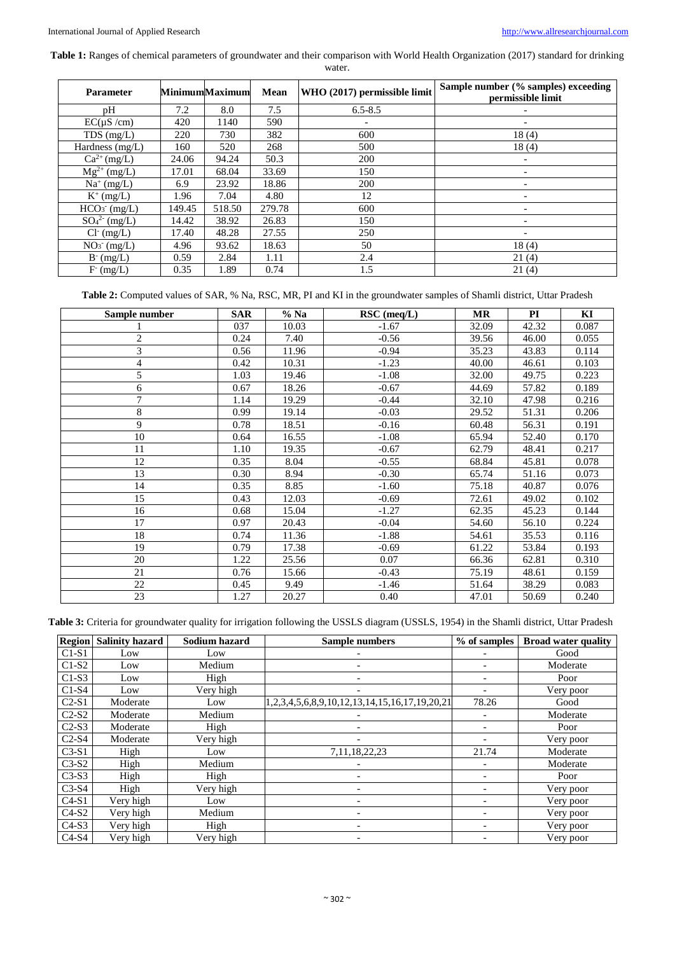**Table 1:** Ranges of chemical parameters of groundwater and their comparison with World Health Organization (2017) standard for drinking

water.

| <b>Parameter</b>   |        | <b>MinimumMaximum</b> | Mean   | WHO (2017) permissible limit | Sample number (% samples) exceeding<br>permissible limit |
|--------------------|--------|-----------------------|--------|------------------------------|----------------------------------------------------------|
| pН                 | 7.2    | 8.0                   | 7.5    | $6.5 - 8.5$                  |                                                          |
| EC(uS/cm)          | 420    | 1140                  | 590    |                              |                                                          |
| $TDS$ (mg/L)       | 220    | 730                   | 382    | 600                          | 18(4)                                                    |
| Hardness $(mg/L)$  | 160    | 520                   | 268    | 500                          | 18(4)                                                    |
| $Ca^{2+} (mg/L)$   | 24.06  | 94.24                 | 50.3   | <b>200</b>                   |                                                          |
| $Mg^{2+}$ (mg/L)   | 17.01  | 68.04                 | 33.69  | 150                          |                                                          |
| $Na^+(mg/L)$       | 6.9    | 23.92                 | 18.86  | 200                          |                                                          |
| $K^+$ (mg/L)       | 1.96   | 7.04                  | 4.80   | 12                           |                                                          |
| $HCO3$ (mg/L)      | 149.45 | 518.50                | 279.78 | 600                          |                                                          |
| $SO_4^{2-}$ (mg/L) | 14.42  | 38.92                 | 26.83  | 150                          |                                                          |
| $Cl^-(mg/L)$       | 17.40  | 48.28                 | 27.55  | 250                          |                                                          |
| $NO3$ (mg/L)       | 4.96   | 93.62                 | 18.63  | 50                           | 18(4)                                                    |
| $B^-(mg/L)$        | 0.59   | 2.84                  | 1.11   | 2.4                          | 21(4)                                                    |
| F (mg/L)           | 0.35   | 1.89                  | 0.74   | 1.5                          | 21(4)                                                    |

**Table 2:** Computed values of SAR, % Na, RSC, MR, PI and KI in the groundwater samples of Shamli district, Uttar Pradesh

| Sample number  | <b>SAR</b> | $%$ Na | RSC (meq/L) | MR    | PI    | KI    |
|----------------|------------|--------|-------------|-------|-------|-------|
|                | 037        | 10.03  | $-1.67$     | 32.09 | 42.32 | 0.087 |
| $\overline{c}$ | 0.24       | 7.40   | $-0.56$     | 39.56 | 46.00 | 0.055 |
| 3              | 0.56       | 11.96  | $-0.94$     | 35.23 | 43.83 | 0.114 |
| 4              | 0.42       | 10.31  | $-1.23$     | 40.00 | 46.61 | 0.103 |
| 5              | 1.03       | 19.46  | $-1.08$     | 32.00 | 49.75 | 0.223 |
| 6              | 0.67       | 18.26  | $-0.67$     | 44.69 | 57.82 | 0.189 |
| 7              | 1.14       | 19.29  | $-0.44$     | 32.10 | 47.98 | 0.216 |
| 8              | 0.99       | 19.14  | $-0.03$     | 29.52 | 51.31 | 0.206 |
| 9              | 0.78       | 18.51  | $-0.16$     | 60.48 | 56.31 | 0.191 |
| 10             | 0.64       | 16.55  | $-1.08$     | 65.94 | 52.40 | 0.170 |
| 11             | 1.10       | 19.35  | $-0.67$     | 62.79 | 48.41 | 0.217 |
| 12             | 0.35       | 8.04   | $-0.55$     | 68.84 | 45.81 | 0.078 |
| 13             | 0.30       | 8.94   | $-0.30$     | 65.74 | 51.16 | 0.073 |
| 14             | 0.35       | 8.85   | $-1.60$     | 75.18 | 40.87 | 0.076 |
| 15             | 0.43       | 12.03  | $-0.69$     | 72.61 | 49.02 | 0.102 |
| 16             | 0.68       | 15.04  | $-1.27$     | 62.35 | 45.23 | 0.144 |
| 17             | 0.97       | 20.43  | $-0.04$     | 54.60 | 56.10 | 0.224 |
| 18             | 0.74       | 11.36  | $-1.88$     | 54.61 | 35.53 | 0.116 |
| 19             | 0.79       | 17.38  | $-0.69$     | 61.22 | 53.84 | 0.193 |
| 20             | 1.22       | 25.56  | 0.07        | 66.36 | 62.81 | 0.310 |
| 21             | 0.76       | 15.66  | $-0.43$     | 75.19 | 48.61 | 0.159 |
| 22             | 0.45       | 9.49   | $-1.46$     | 51.64 | 38.29 | 0.083 |
| 23             | 1.27       | 20.27  | 0.40        | 47.01 | 50.69 | 0.240 |

**Table 3:** Criteria for groundwater quality for irrigation following the USSLS diagram (USSLS, 1954) in the Shamli district, Uttar Pradesh

|         | <b>Region</b> Salinity hazard | Sodium hazard | <b>Sample numbers</b>                         | % of samples | <b>Broad water quality</b> |
|---------|-------------------------------|---------------|-----------------------------------------------|--------------|----------------------------|
| $C1-S1$ | Low                           | Low           |                                               |              | Good                       |
| $C1-S2$ | Low                           | Medium        |                                               |              | Moderate                   |
| $C1-S3$ | Low                           | High          |                                               |              | Poor                       |
| $C1-S4$ | Low                           | Very high     |                                               |              | Very poor                  |
| $C2-S1$ | Moderate                      | Low           | 1,2,3,4,5,6,8,9,10,12,13,14,15,16,17,19,20,21 | 78.26        | Good                       |
| $C2-S2$ | Moderate                      | Medium        |                                               |              | Moderate                   |
| $C2-S3$ | Moderate                      | High          |                                               |              | Poor                       |
| $C2-S4$ | Moderate                      | Very high     |                                               |              | Very poor                  |
| $C3-S1$ | High                          | Low           | 7,11,18,22,23                                 | 21.74        | Moderate                   |
| $C3-S2$ | High                          | Medium        |                                               |              | Moderate                   |
| $C3-S3$ | High                          | High          |                                               |              | Poor                       |
| $C3-S4$ | High                          | Very high     |                                               |              | Very poor                  |
| $C4-S1$ | Very high                     | Low           |                                               |              | Very poor                  |
| $C4-S2$ | Very high                     | Medium        |                                               |              | Very poor                  |
| $C4-S3$ | Very high                     | High          |                                               |              | Very poor                  |
| $C4-S4$ | Very high                     | Very high     |                                               |              | Very poor                  |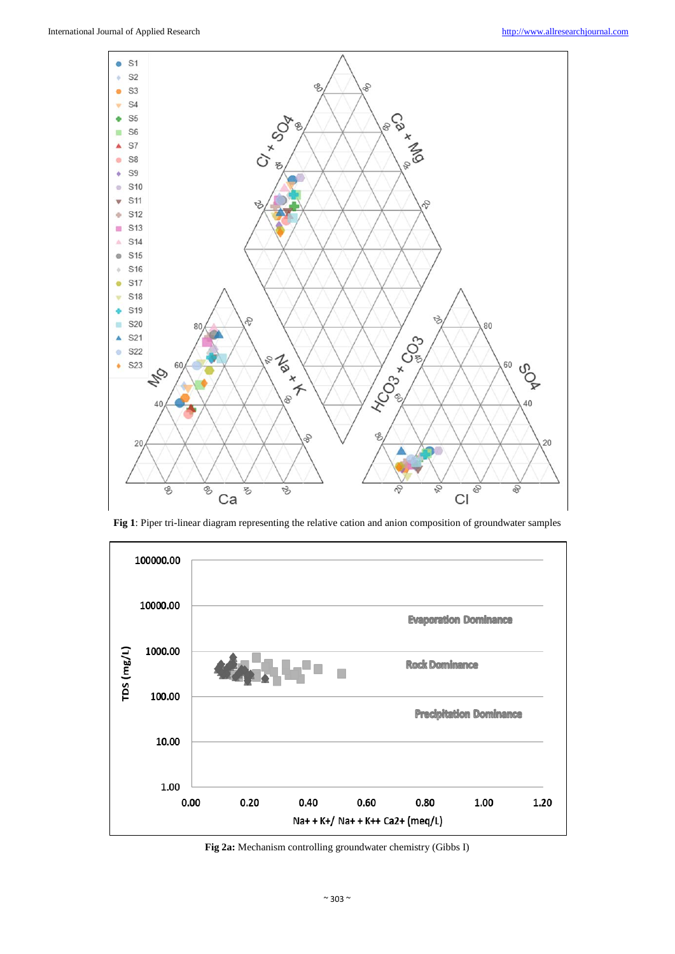

**Fig 1**: Piper tri-linear diagram representing the relative cation and anion composition of groundwater samples



**Fig 2a:** Mechanism controlling groundwater chemistry (Gibbs I)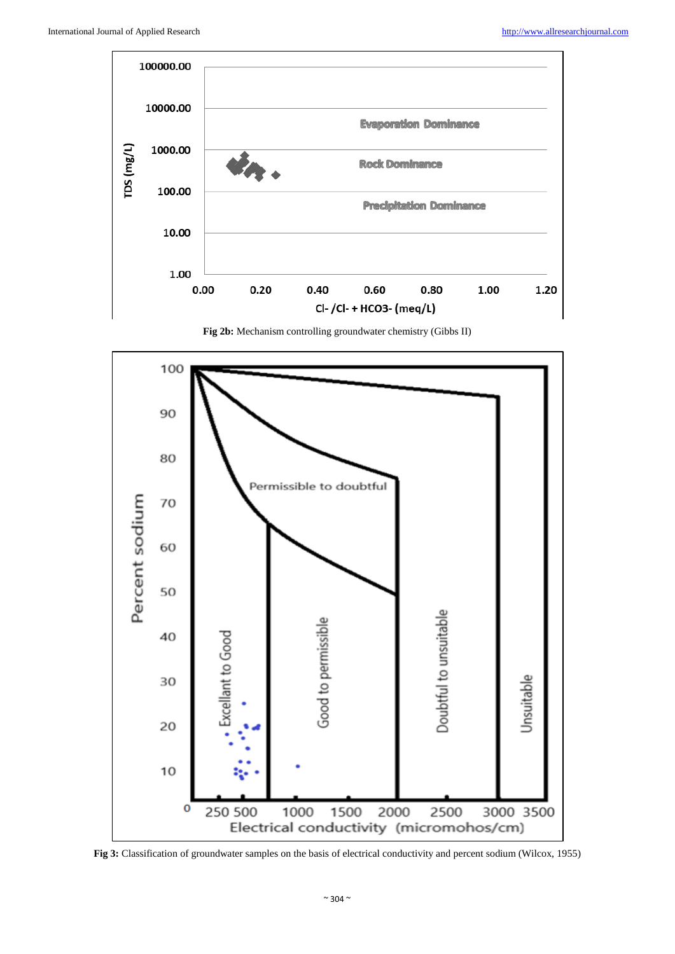

**Fig 2b:** Mechanism controlling groundwater chemistry (Gibbs II)



**Fig 3:** Classification of groundwater samples on the basis of electrical conductivity and percent sodium (Wilcox, 1955)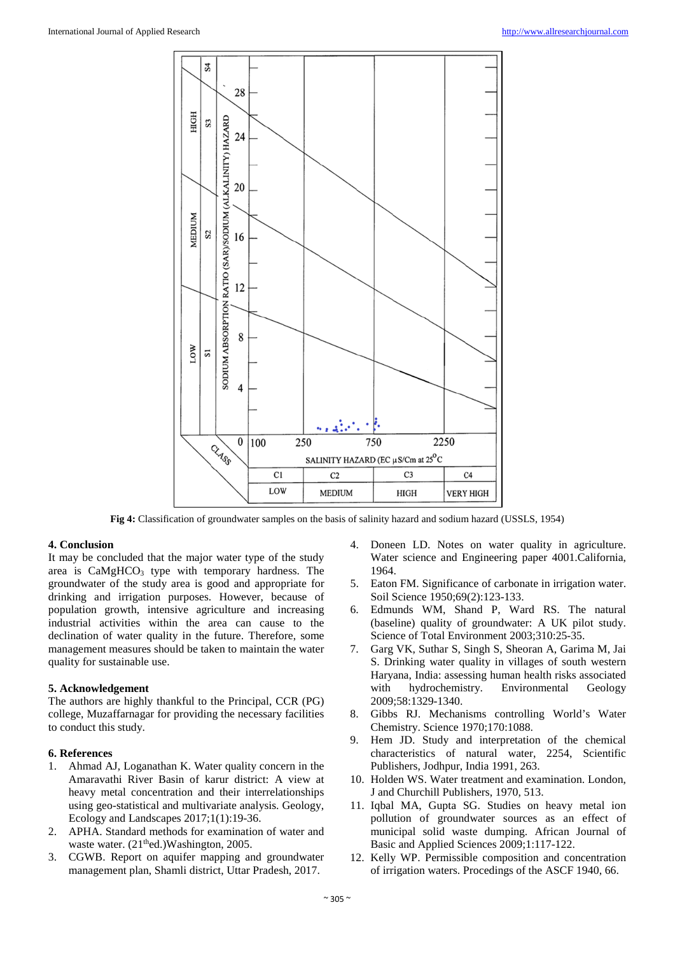

**Fig 4:** Classification of groundwater samples on the basis of salinity hazard and sodium hazard (USSLS, 1954)

#### **4. Conclusion**

It may be concluded that the major water type of the study area is  $CaMgHCO<sub>3</sub>$  type with temporary hardness. The groundwater of the study area is good and appropriate for drinking and irrigation purposes. However, because of population growth, intensive agriculture and increasing industrial activities within the area can cause to the declination of water quality in the future. Therefore, some management measures should be taken to maintain the water quality for sustainable use.

## **5. Acknowledgement**

The authors are highly thankful to the Principal, CCR (PG) college, Muzaffarnagar for providing the necessary facilities to conduct this study.

#### **6. References**

- 1. Ahmad AJ, Loganathan K. Water quality concern in the Amaravathi River Basin of karur district: A view at heavy metal concentration and their interrelationships using geo-statistical and multivariate analysis. Geology, Ecology and Landscapes 2017;1(1):19-36.
- 2. APHA. Standard methods for examination of water and waste water. (21<sup>th</sup>ed.)Washington, 2005.
- 3. CGWB. Report on aquifer mapping and groundwater management plan, Shamli district, Uttar Pradesh, 2017.
- Doneen LD. Notes on water quality in agriculture. Water science and Engineering paper 4001.California, 1964.
- 5. Eaton FM. Significance of carbonate in irrigation water. Soil Science 1950;69(2):123-133.
- 6. Edmunds WM, Shand P, Ward RS. The natural (baseline) quality of groundwater: A UK pilot study. Science of Total Environment 2003;310:25-35.
- 7. Garg VK, Suthar S, Singh S, Sheoran A, Garima M, Jai S. Drinking water quality in villages of south western Haryana, India: assessing human health risks associated with hydrochemistry. Environmental Geology 2009;58:1329-1340.
- 8. Gibbs RJ. Mechanisms controlling World's Water Chemistry. Science 1970;170:1088.
- 9. Hem JD. Study and interpretation of the chemical characteristics of natural water, 2254, Scientific Publishers, Jodhpur, India 1991, 263.
- 10. Holden WS. Water treatment and examination. London, J and Churchill Publishers, 1970, 513.
- 11. Iqbal MA, Gupta SG. Studies on heavy metal ion pollution of groundwater sources as an effect of municipal solid waste dumping. African Journal of Basic and Applied Sciences 2009;1:117-122.
- 12. Kelly WP. Permissible composition and concentration of irrigation waters. Procedings of the ASCF 1940, 66.